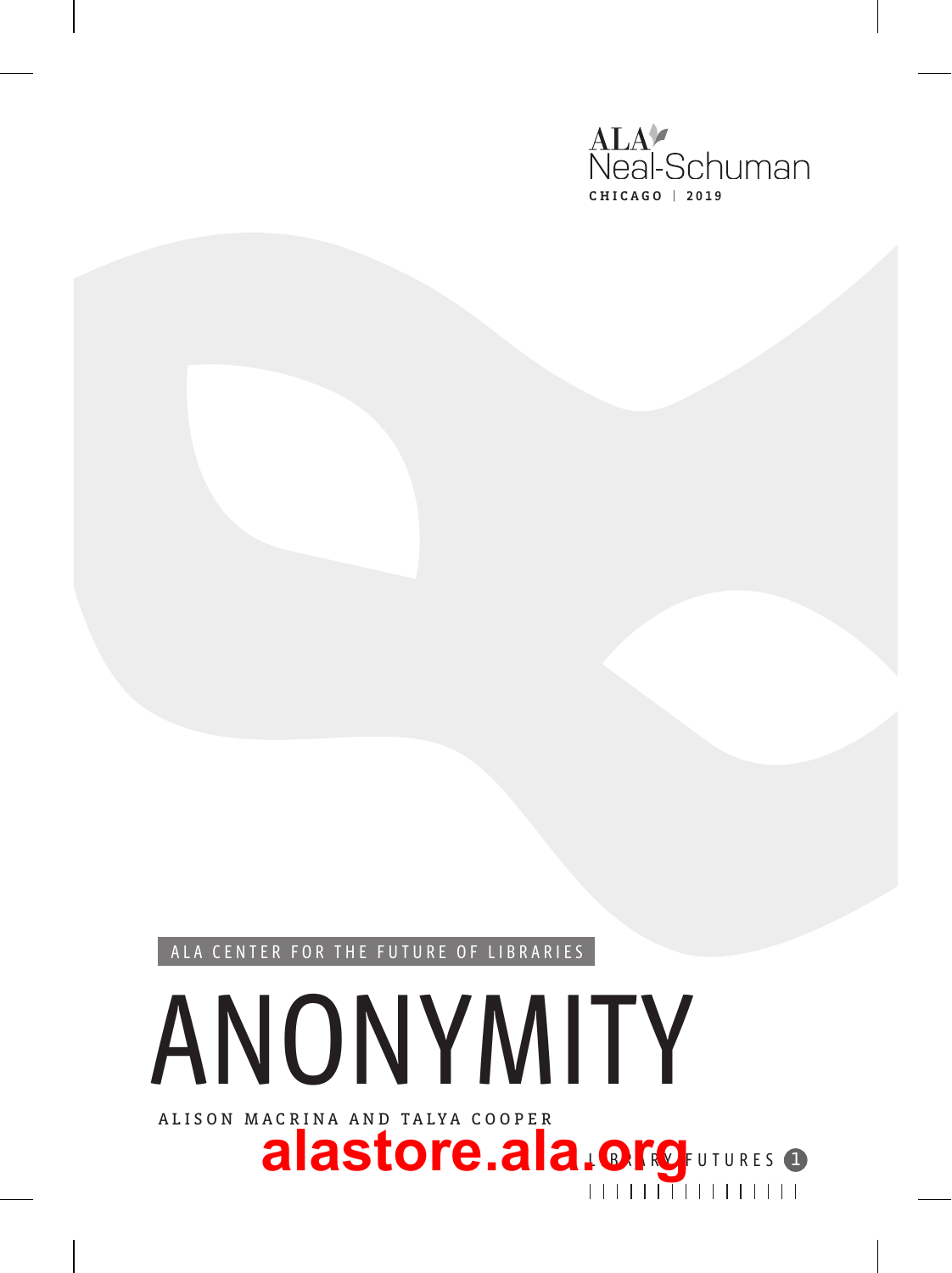

ALA CENTER FOR THE FUTURE OF LIBRARIES

# ANONYMITY

ALISON MACRINA AND TALYA COOPER **alastore.ala.org**utures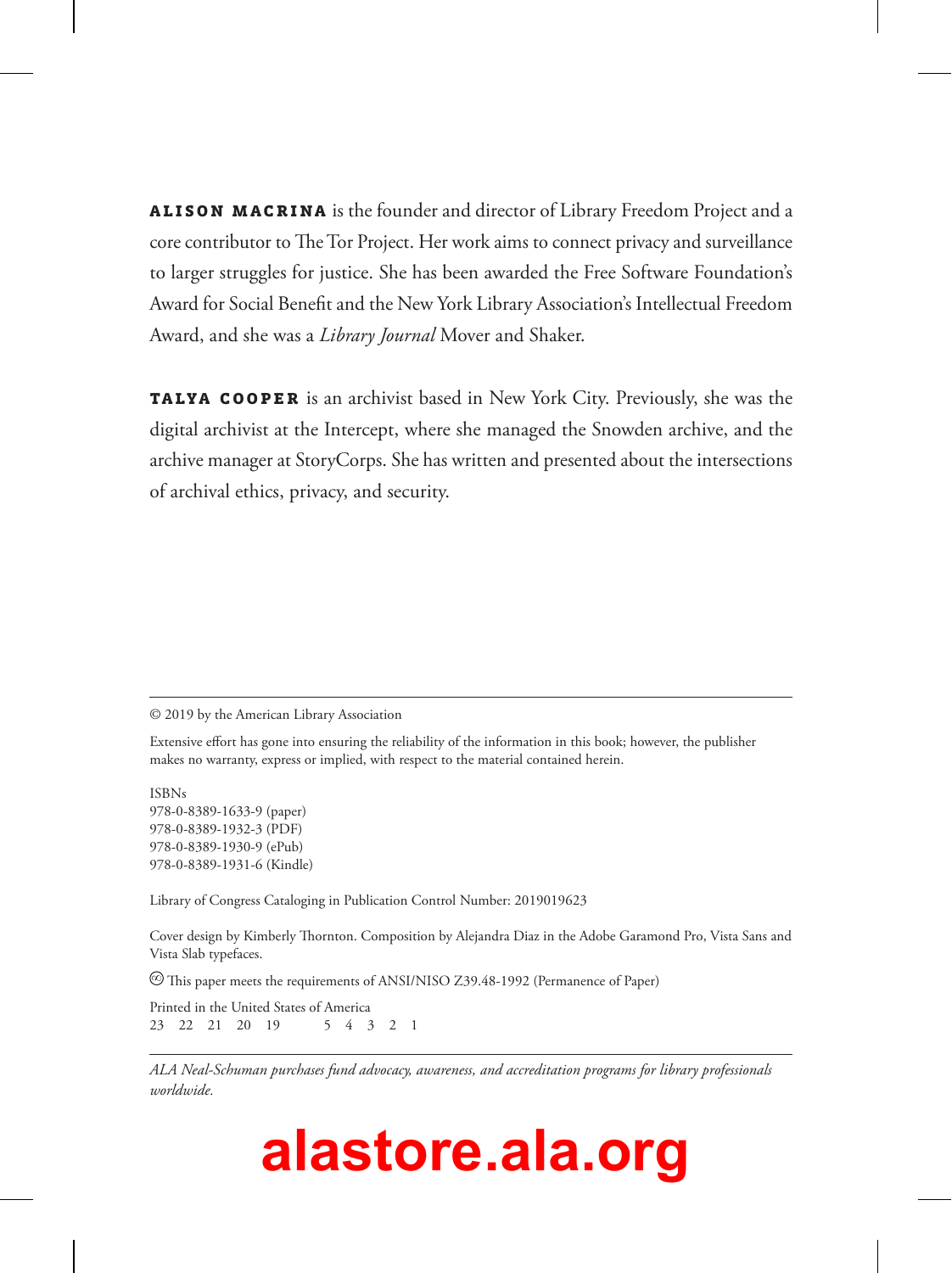**alison macrina** is the founder and director of Library Freedom Project and a core contributor to The Tor Project. Her work aims to connect privacy and surveillance to larger struggles for justice. She has been awarded the Free Software Foundation's Award for Social Benefit and the New York Library Association's Intellectual Freedom Award, and she was a *Library Journal* Mover and Shaker.

**talya cooper** is an archivist based in New York City. Previously, she was the digital archivist at the Intercept, where she managed the Snowden archive, and the archive manager at StoryCorps. She has written and presented about the intersections of archival ethics, privacy, and security.

ISBNs 978-0-8389-1633-9 (paper) 978-0-8389-1932-3 (PDF) 978-0-8389-1930-9 (ePub) 978-0-8389-1931-6 (Kindle)

Library of Congress Cataloging in Publication Control Number: 2019019623

Cover design by Kimberly Thornton. Composition by Alejandra Diaz in the Adobe Garamond Pro, Vista Sans and Vista Slab typefaces.

This paper meets the requirements of ANSI/NISO Z39.48-1992 (Permanence of Paper)

Printed in the United States of America 23 22 21 20 19 5 4 3 2 1

*ALA Neal-Schuman purchases fund advocacy, awareness, and accreditation programs for library professionals worldwide.*

<sup>© 2019</sup> by the American Library Association

Extensive effort has gone into ensuring the reliability of the information in this book; however, the publisher makes no warranty, express or implied, with respect to the material contained herein.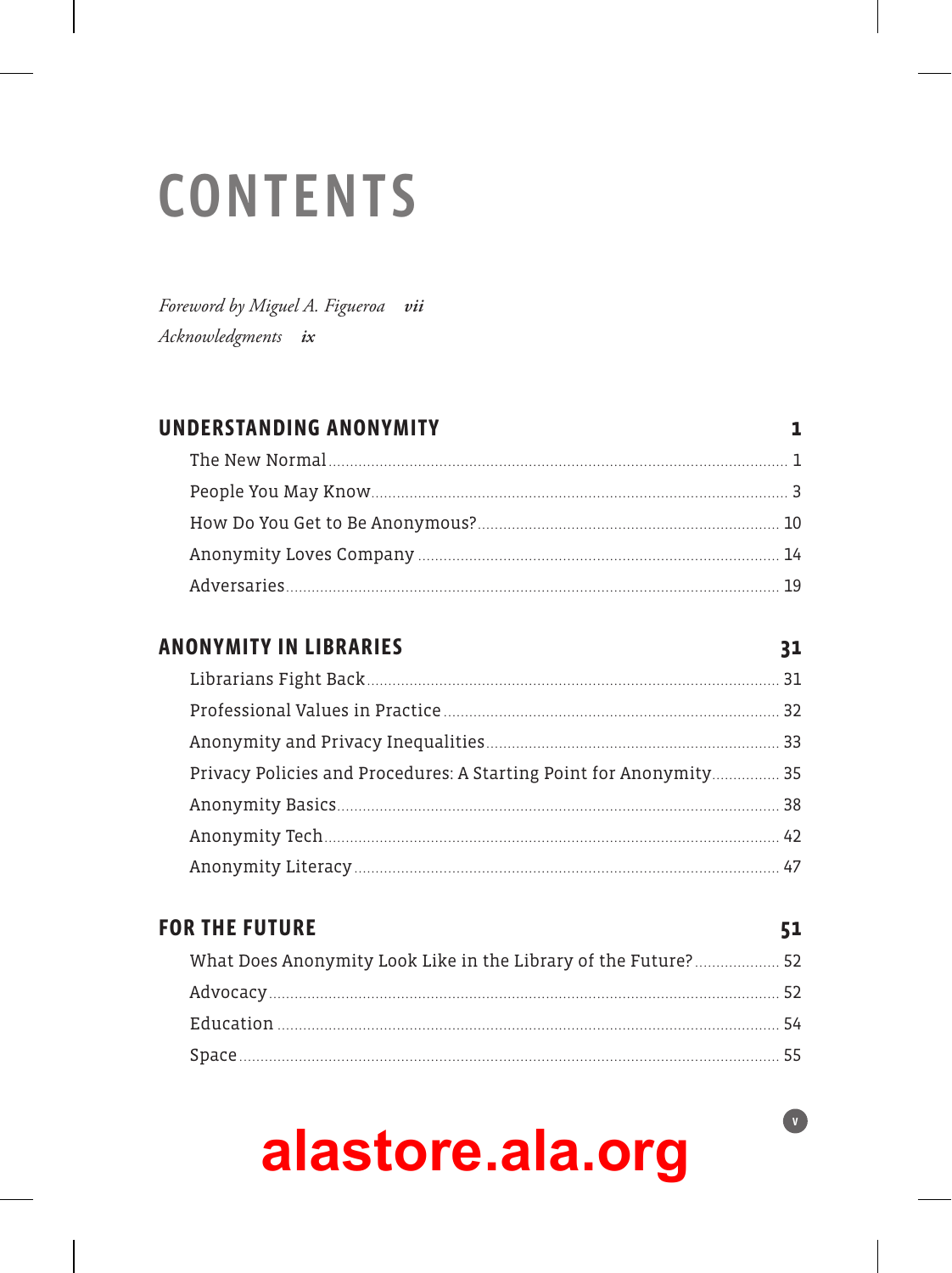# **CONTENTS**

Foreword by Miguel A. Figueroa vii Acknowledgments ix

#### **UNDERSTANDING ANONYMITY**

#### **ANONYMITY IN LIBRARIES**

 $31$ 

51

 $\bullet$ 

 $\mathbf{1}$ 

| Privacy Policies and Procedures: A Starting Point for Anonymity 35 |  |
|--------------------------------------------------------------------|--|
|                                                                    |  |
|                                                                    |  |
|                                                                    |  |
|                                                                    |  |

#### **FOR THE FUTURE**

| What Does Anonymity Look Like in the Library of the Future? 52 |  |
|----------------------------------------------------------------|--|
|                                                                |  |
|                                                                |  |
|                                                                |  |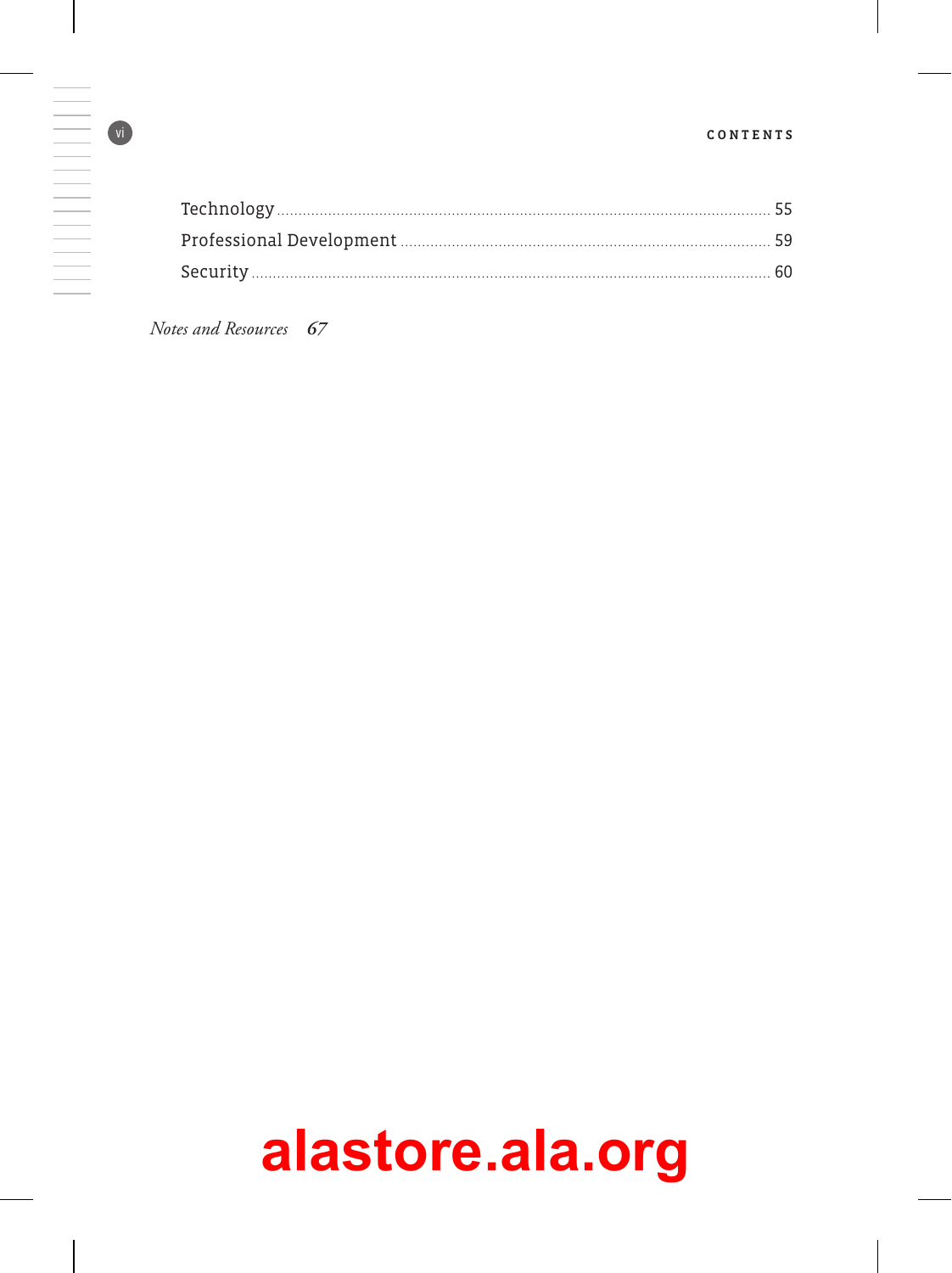Notes and Resources 67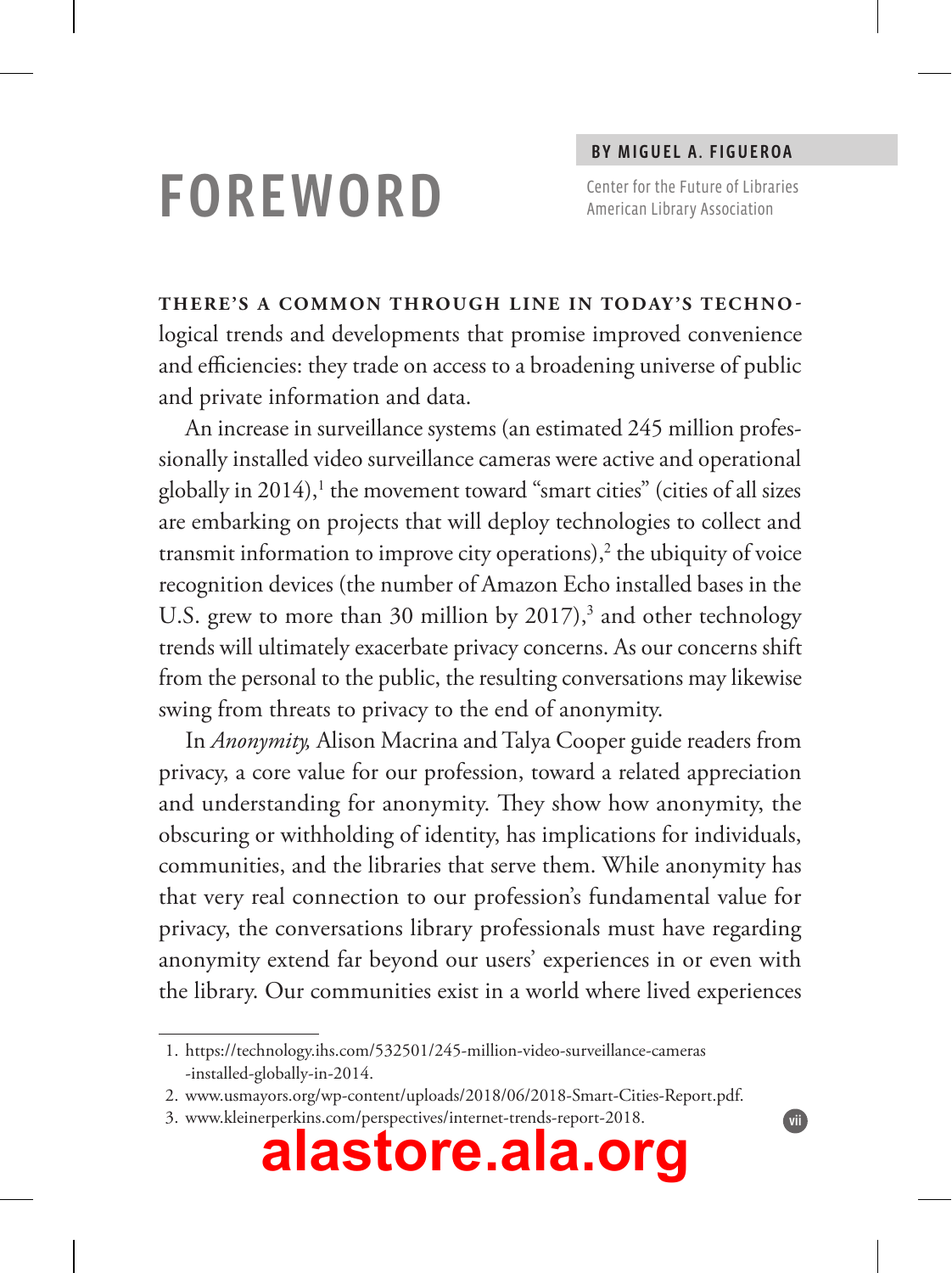# FOREWORD

Center for the Future of Libraries American Library Association

**viii** 

**THERE'S A COMMON THROUGH LINE IN TODAY'S TECHNO**logical trends and developments that promise improved convenience and efficiencies: they trade on access to a broadening universe of public and private information and data.

An increase in surveillance systems (an estimated 245 million professionally installed video surveillance cameras were active and operational globally in 2014),<sup>1</sup> the movement toward "smart cities" (cities of all sizes are embarking on projects that will deploy technologies to collect and transmit information to improve city operations), $2$  the ubiquity of voice recognition devices (the number of Amazon Echo installed bases in the U.S. grew to more than 30 million by 2017),<sup>3</sup> and other technology trends will ultimately exacerbate privacy concerns. As our concerns shift from the personal to the public, the resulting conversations may likewise swing from threats to privacy to the end of anonymity.

In *Anonymity,* Alison Macrina and Talya Cooper guide readers from privacy, a core value for our profession, toward a related appreciation and understanding for anonymity. They show how anonymity, the obscuring or withholding of identity, has implications for individuals, communities, and the libraries that serve them. While anonymity has that very real connection to our profession's fundamental value for privacy, the conversations library professionals must have regarding anonymity extend far beyond our users' experiences in or even with the library. Our communities exist in a world where lived experiences

<sup>3.</sup> www.kleinerperkins.com/perspectives/internet-trends-report-2018.



<sup>1.</sup> https://technology.ihs.com/532501/245-million-video-surveillance-cameras -installed-globally-in-2014.

<sup>2.</sup> www.usmayors.org/wp-content/uploads/2018/06/2018-Smart-Cities-Report.pdf.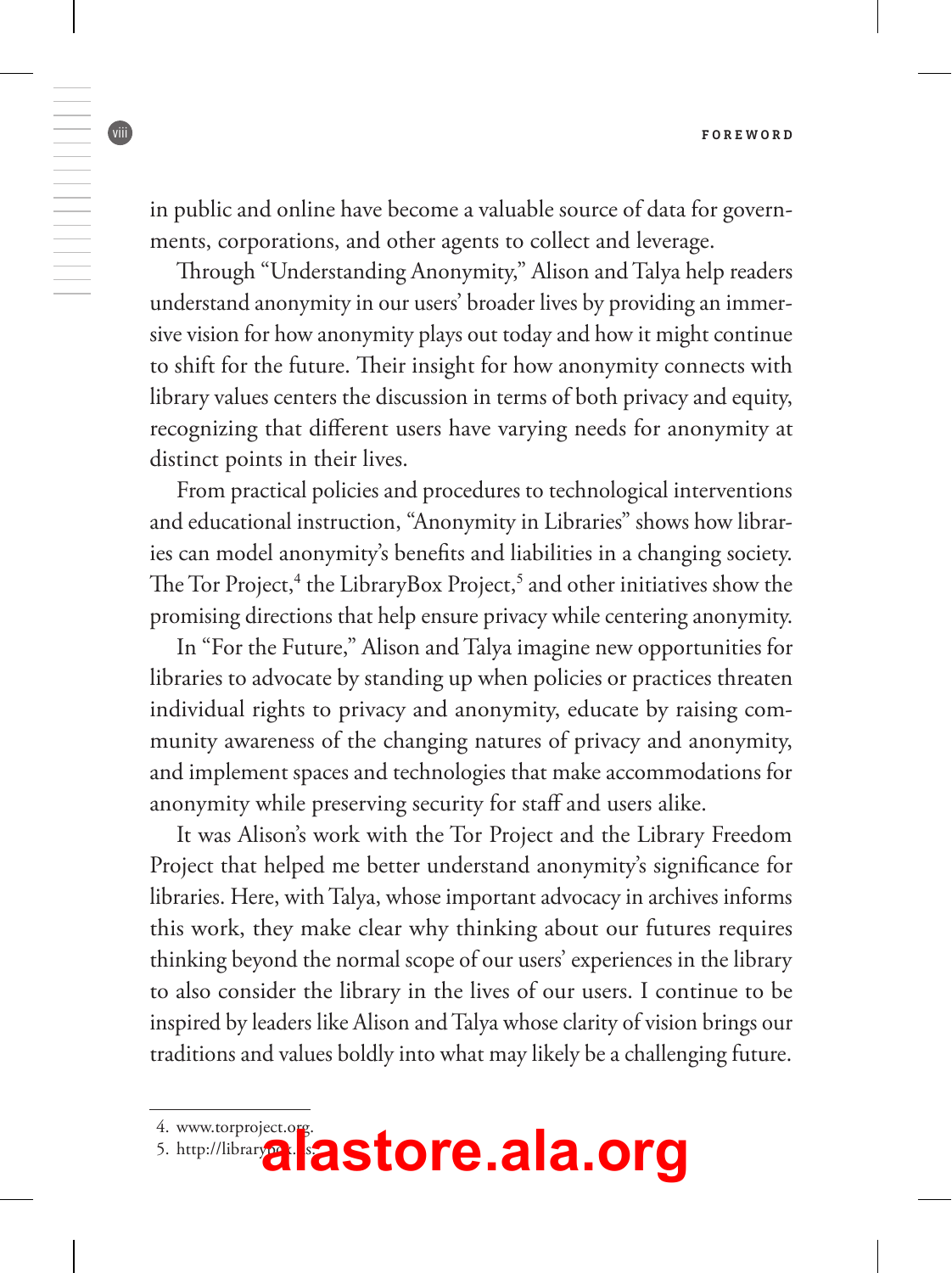viii) FOREWORD

in public and online have become a valuable source of data for governments, corporations, and other agents to collect and leverage.

Through "Understanding Anonymity," Alison and Talya help readers understand anonymity in our users' broader lives by providing an immersive vision for how anonymity plays out today and how it might continue to shift for the future. Their insight for how anonymity connects with library values centers the discussion in terms of both privacy and equity, recognizing that different users have varying needs for anonymity at distinct points in their lives.

From practical policies and procedures to technological interventions and educational instruction, "Anonymity in Libraries" shows how libraries can model anonymity's benefits and liabilities in a changing society. The Tor Project,<sup>4</sup> the LibraryBox Project,<sup>5</sup> and other initiatives show the promising directions that help ensure privacy while centering anonymity.

In "For the Future," Alison and Talya imagine new opportunities for libraries to advocate by standing up when policies or practices threaten individual rights to privacy and anonymity, educate by raising community awareness of the changing natures of privacy and anonymity, and implement spaces and technologies that make accommodations for anonymity while preserving security for staff and users alike.

It was Alison's work with the Tor Project and the Library Freedom Project that helped me better understand anonymity's significance for libraries. Here, with Talya, whose important advocacy in archives informs this work, they make clear why thinking about our futures requires thinking beyond the normal scope of our users' experiences in the library to also consider the library in the lives of our users. I continue to be inspired by leaders like Alison and Talya whose clarity of vision brings our traditions and values boldly into what may likely be a challenging future.

<sup>4.</sup> www.torproject.org.

<sup>5.</sup> http://librarybox.us. **alastore.ala.org**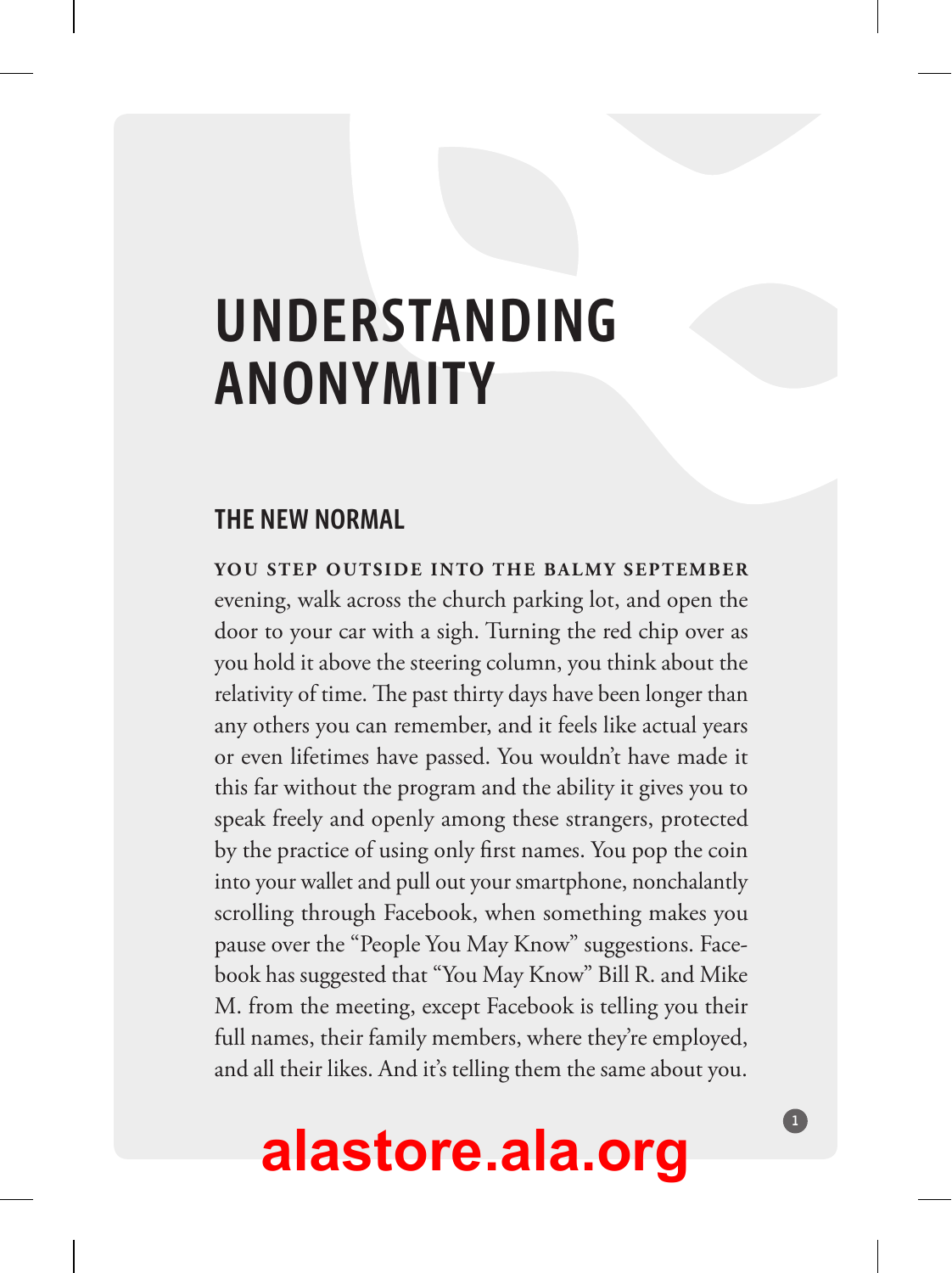# UNDERSTANDING ANONYMITY

#### THE NEW NORMAL

**YOU STEP OUTSIDE INTO THE BALMY SEPTEMBER**  evening, walk across the church parking lot, and open the door to your car with a sigh. Turning the red chip over as you hold it above the steering column, you think about the relativity of time. The past thirty days have been longer than any others you can remember, and it feels like actual years or even lifetimes have passed. You wouldn't have made it this far without the program and the ability it gives you to speak freely and openly among these strangers, protected by the practice of using only first names. You pop the coin into your wallet and pull out your smartphone, nonchalantly scrolling through Facebook, when something makes you pause over the "People You May Know" suggestions. Facebook has suggested that "You May Know" Bill R. and Mike M. from the meeting, except Facebook is telling you their full names, their family members, where they're employed, and all their likes. And it's telling them the same about you.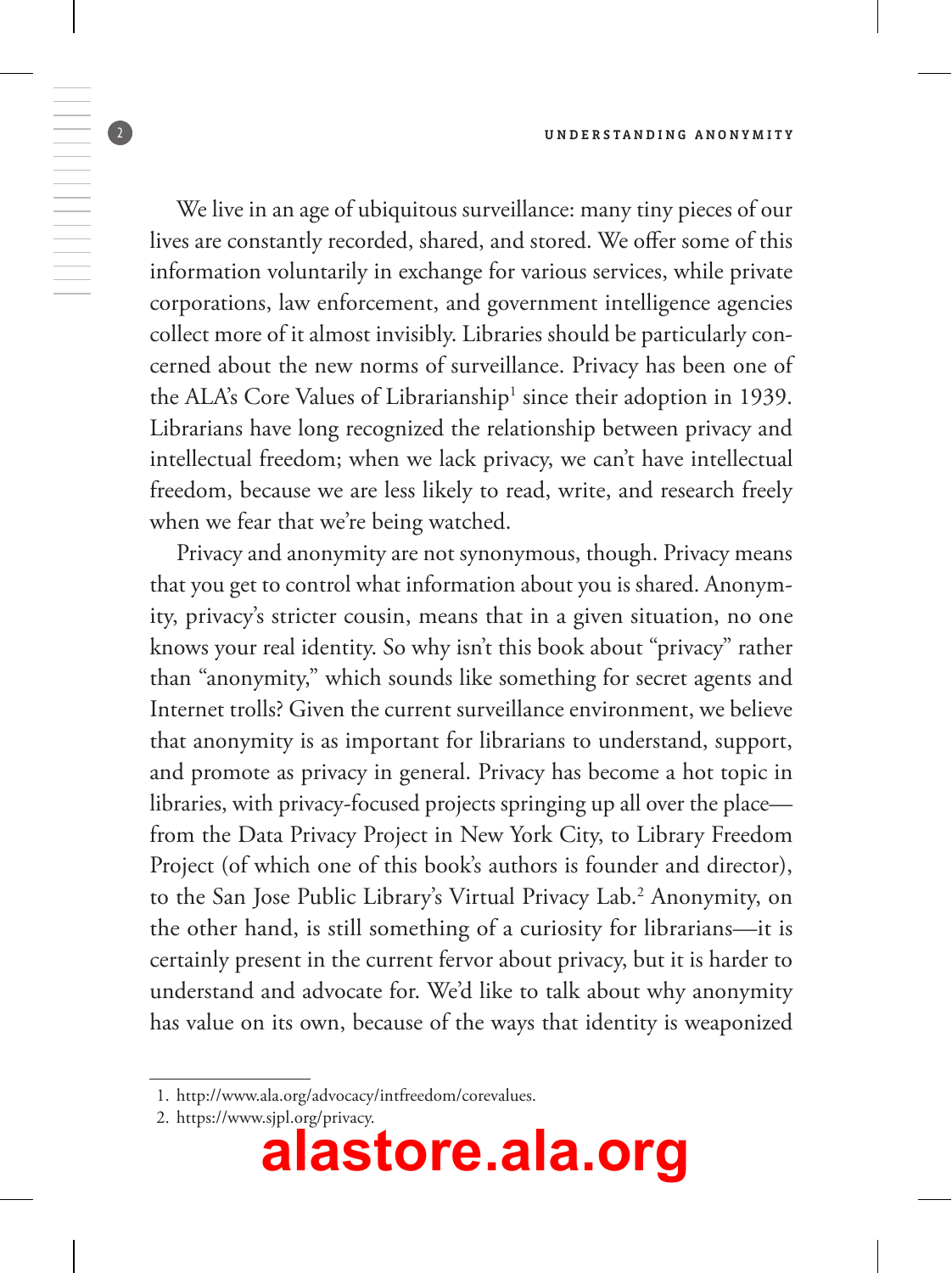We live in an age of ubiquitous surveillance: many tiny pieces of our lives are constantly recorded, shared, and stored. We offer some of this information voluntarily in exchange for various services, while private corporations, law enforcement, and government intelligence agencies collect more of it almost invisibly. Libraries should be particularly concerned about the new norms of surveillance. Privacy has been one of the ALA's Core Values of Librarianship $^1$  since their adoption in 1939. Librarians have long recognized the relationship between privacy and intellectual freedom; when we lack privacy, we can't have intellectual freedom, because we are less likely to read, write, and research freely when we fear that we're being watched.

Privacy and anonymity are not synonymous, though. Privacy means that you get to control what information about you is shared. Anonymity, privacy's stricter cousin, means that in a given situation, no one knows your real identity. So why isn't this book about "privacy" rather than "anonymity," which sounds like something for secret agents and Internet trolls? Given the current surveillance environment, we believe that anonymity is as important for librarians to understand, support, and promote as privacy in general. Privacy has become a hot topic in libraries, with privacy-focused projects springing up all over the place from the Data Privacy Project in New York City, to Library Freedom Project (of which one of this book's authors is founder and director), to the San Jose Public Library's Virtual Privacy Lab.<sup>2</sup> Anonymity, on the other hand, is still something of a curiosity for librarians—it is certainly present in the current fervor about privacy, but it is harder to understand and advocate for. We'd like to talk about why anonymity has value on its own, because of the ways that identity is weaponized

<sup>1.</sup> http://www.ala.org/advocacy/intfreedom/corevalues.

<sup>2.</sup> https://www.sjpl.org/privacy.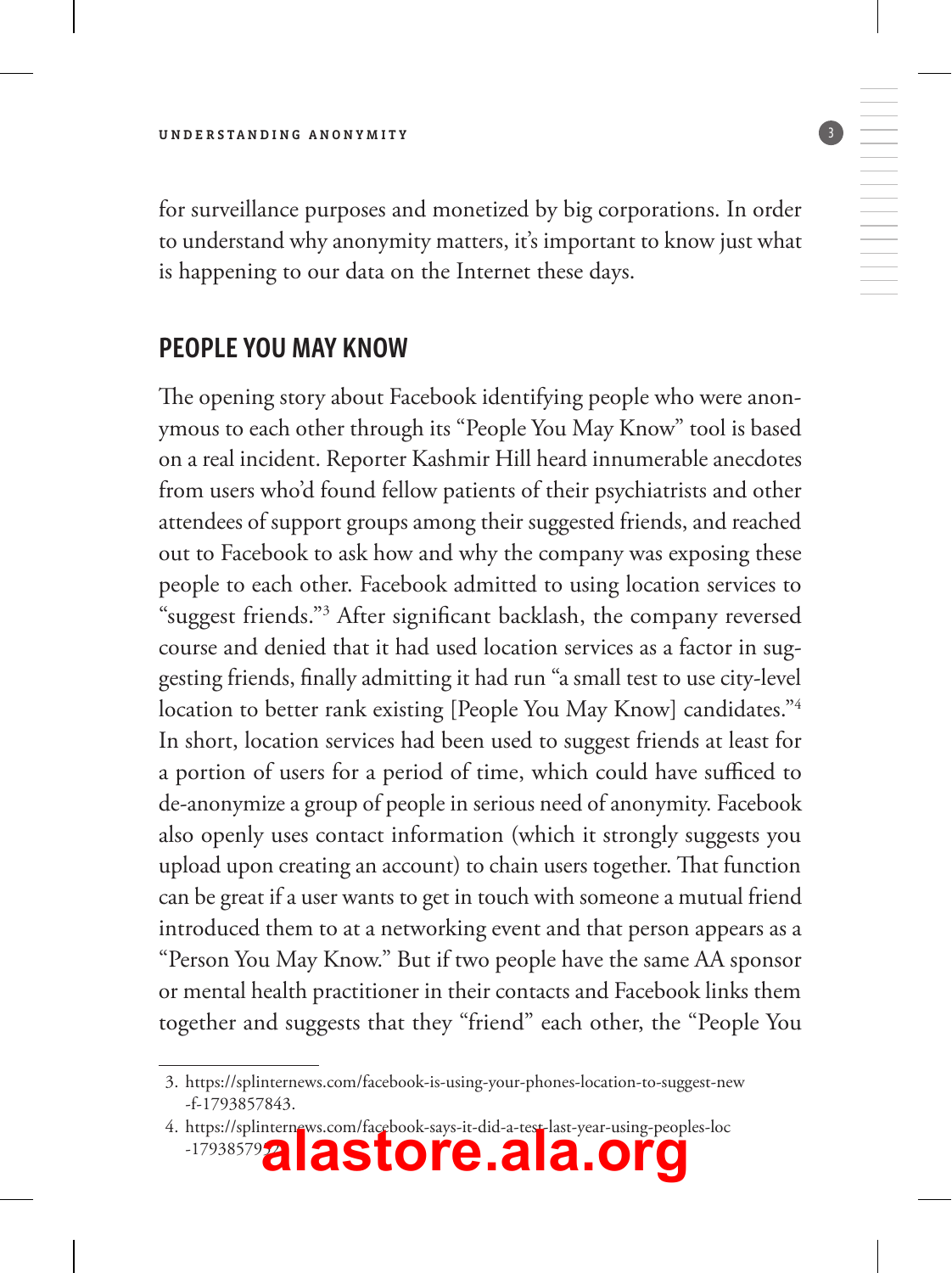for surveillance purposes and monetized by big corporations. In order to understand why anonymity matters, it's important to know just what is happening to our data on the Internet these days.

#### PEOPLE YOU MAY KNOW

 $-1793857952$ 

The opening story about Facebook identifying people who were anonymous to each other through its "People You May Know" tool is based on a real incident. Reporter Kashmir Hill heard innumerable anecdotes from users who'd found fellow patients of their psychiatrists and other attendees of support groups among their suggested friends, and reached out to Facebook to ask how and why the company was exposing these people to each other. Facebook admitted to using location services to "suggest friends."3 After significant backlash, the company reversed course and denied that it had used location services as a factor in suggesting friends, finally admitting it had run "a small test to use city-level location to better rank existing [People You May Know] candidates."4 In short, location services had been used to suggest friends at least for a portion of users for a period of time, which could have sufficed to de-anonymize a group of people in serious need of anonymity. Facebook also openly uses contact information (which it strongly suggests you upload upon creating an account) to chain users together. That function can be great if a user wants to get in touch with someone a mutual friend introduced them to at a networking event and that person appears as a "Person You May Know." But if two people have the same AA sponsor or mental health practitioner in their contacts and Facebook links them together and suggests that they "friend" each other, the "People You

4. https://splinternews.com/facebook-says-it-did-a-test-last-year-using-peoples-loc **llastore.ala.** 

<sup>3.</sup> https://splinternews.com/facebook-is-using-your-phones-location-to-suggest-new -f-1793857843.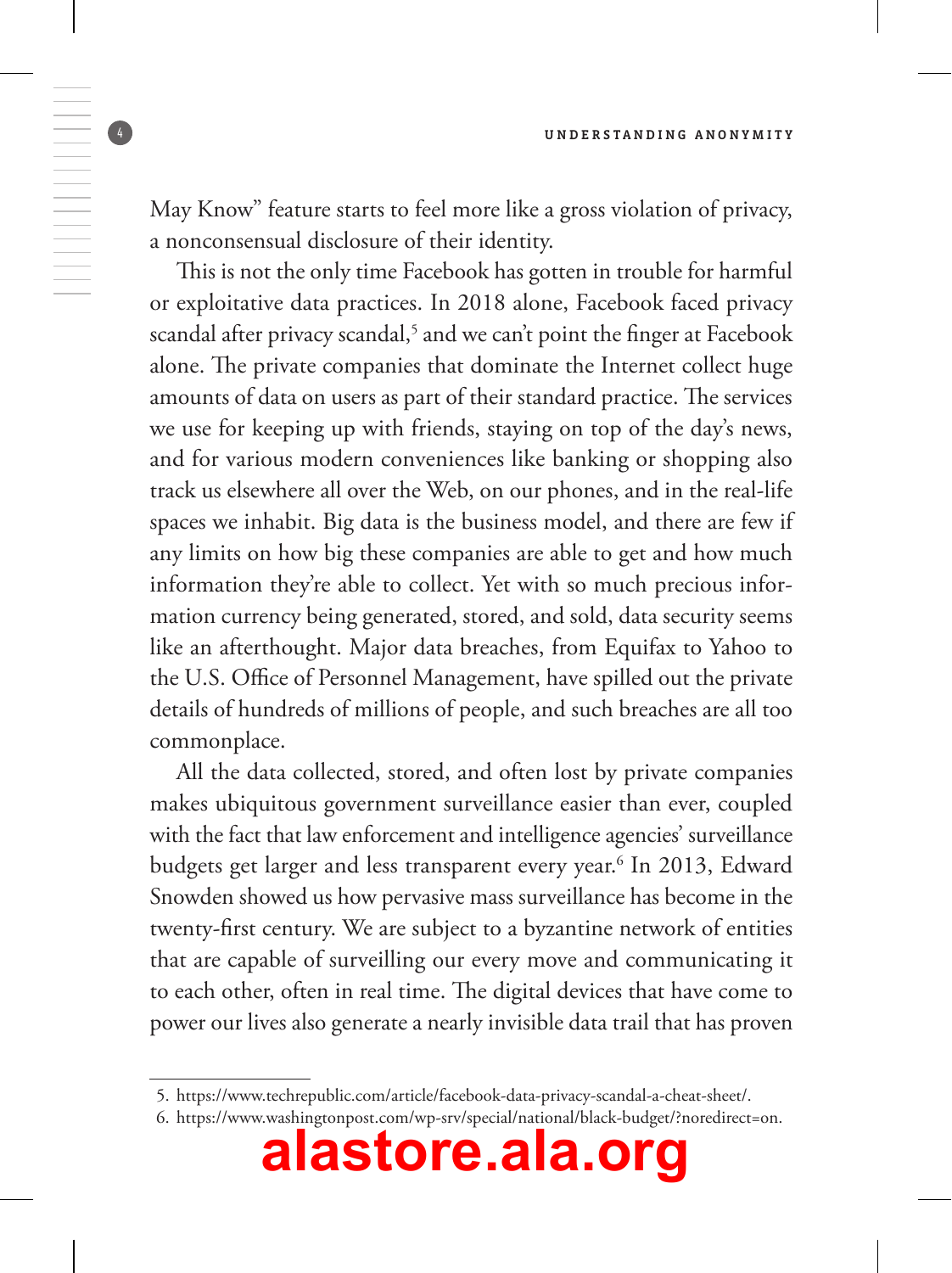4 UNDERSTANDING ANONYMITY

May Know" feature starts to feel more like a gross violation of privacy, a nonconsensual disclosure of their identity.

This is not the only time Facebook has gotten in trouble for harmful or exploitative data practices. In 2018 alone, Facebook faced privacy scandal after privacy scandal,<sup>5</sup> and we can't point the finger at Facebook alone. The private companies that dominate the Internet collect huge amounts of data on users as part of their standard practice. The services we use for keeping up with friends, staying on top of the day's news, and for various modern conveniences like banking or shopping also track us elsewhere all over the Web, on our phones, and in the real-life spaces we inhabit. Big data is the business model, and there are few if any limits on how big these companies are able to get and how much information they're able to collect. Yet with so much precious information currency being generated, stored, and sold, data security seems like an afterthought. Major data breaches, from Equifax to Yahoo to the U.S. Office of Personnel Management, have spilled out the private details of hundreds of millions of people, and such breaches are all too commonplace.

All the data collected, stored, and often lost by private companies makes ubiquitous government surveillance easier than ever, coupled with the fact that law enforcement and intelligence agencies' surveillance budgets get larger and less transparent every year.6 In 2013, Edward Snowden showed us how pervasive mass surveillance has become in the twenty-first century. We are subject to a byzantine network of entities that are capable of surveilling our every move and communicating it to each other, often in real time. The digital devices that have come to power our lives also generate a nearly invisible data trail that has proven

<sup>5.</sup> https://www.techrepublic.com/article/facebook-data-privacy-scandal-a-cheat-sheet/.

<sup>6.</sup> https://www.washingtonpost.com/wp-srv/special/national/black-budget/?noredirect=on. **alastore.ala.org**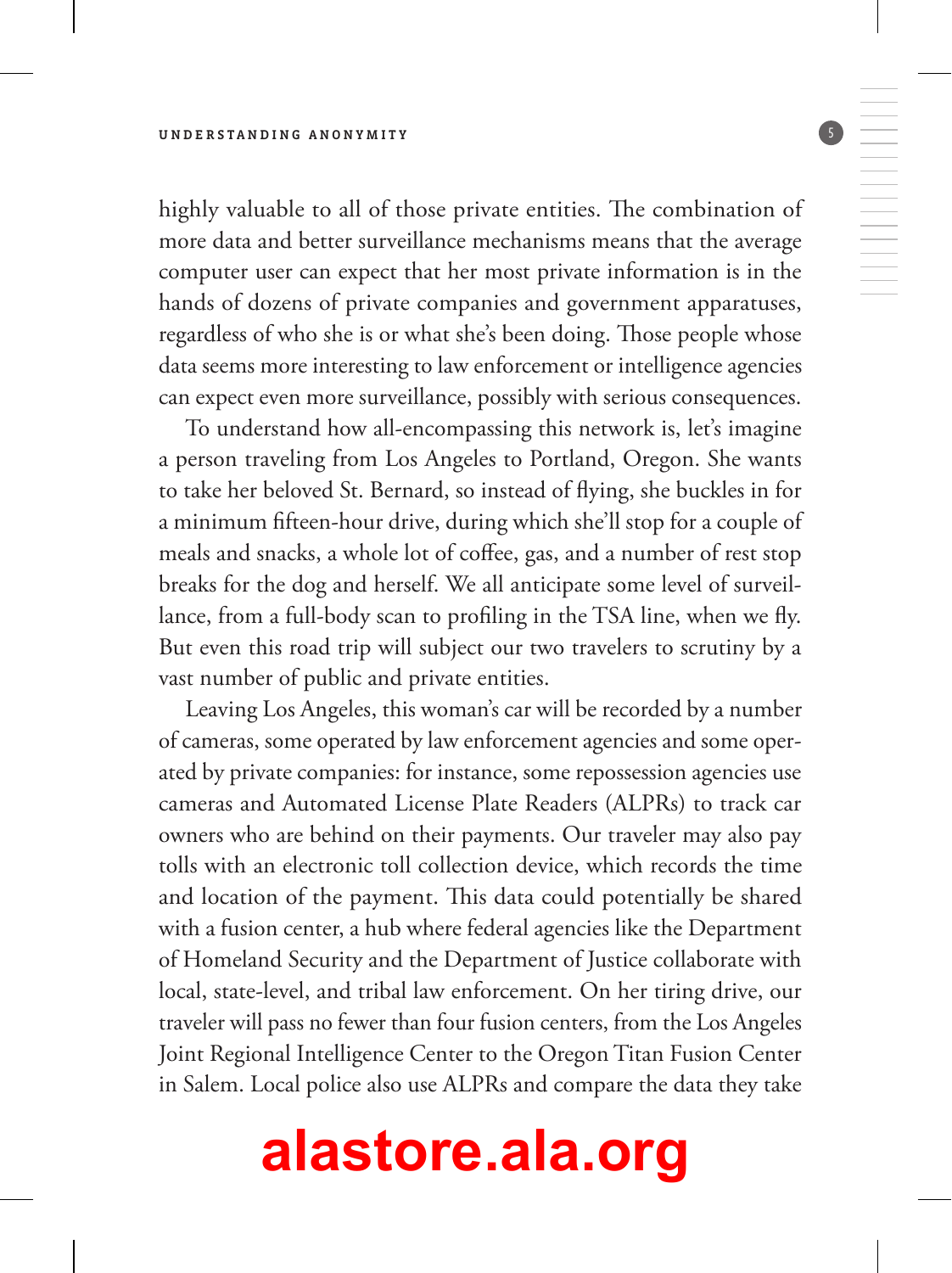highly valuable to all of those private entities. The combination of more data and better surveillance mechanisms means that the average computer user can expect that her most private information is in the hands of dozens of private companies and government apparatuses, regardless of who she is or what she's been doing. Those people whose data seems more interesting to law enforcement or intelligence agencies can expect even more surveillance, possibly with serious consequences.

———————————————<br>——————————————

To understand how all-encompassing this network is, let's imagine a person traveling from Los Angeles to Portland, Oregon. She wants to take her beloved St. Bernard, so instead of flying, she buckles in for a minimum fifteen-hour drive, during which she'll stop for a couple of meals and snacks, a whole lot of coffee, gas, and a number of rest stop breaks for the dog and herself. We all anticipate some level of surveillance, from a full-body scan to profiling in the TSA line, when we fly. But even this road trip will subject our two travelers to scrutiny by a vast number of public and private entities.

Leaving Los Angeles, this woman's car will be recorded by a number of cameras, some operated by law enforcement agencies and some operated by private companies: for instance, some repossession agencies use cameras and Automated License Plate Readers (ALPRs) to track car owners who are behind on their payments. Our traveler may also pay tolls with an electronic toll collection device, which records the time and location of the payment. This data could potentially be shared with a fusion center, a hub where federal agencies like the Department of Homeland Security and the Department of Justice collaborate with local, state-level, and tribal law enforcement. On her tiring drive, our traveler will pass no fewer than four fusion centers, from the Los Angeles Joint Regional Intelligence Center to the Oregon Titan Fusion Center in Salem. Local police also use ALPRs and compare the data they take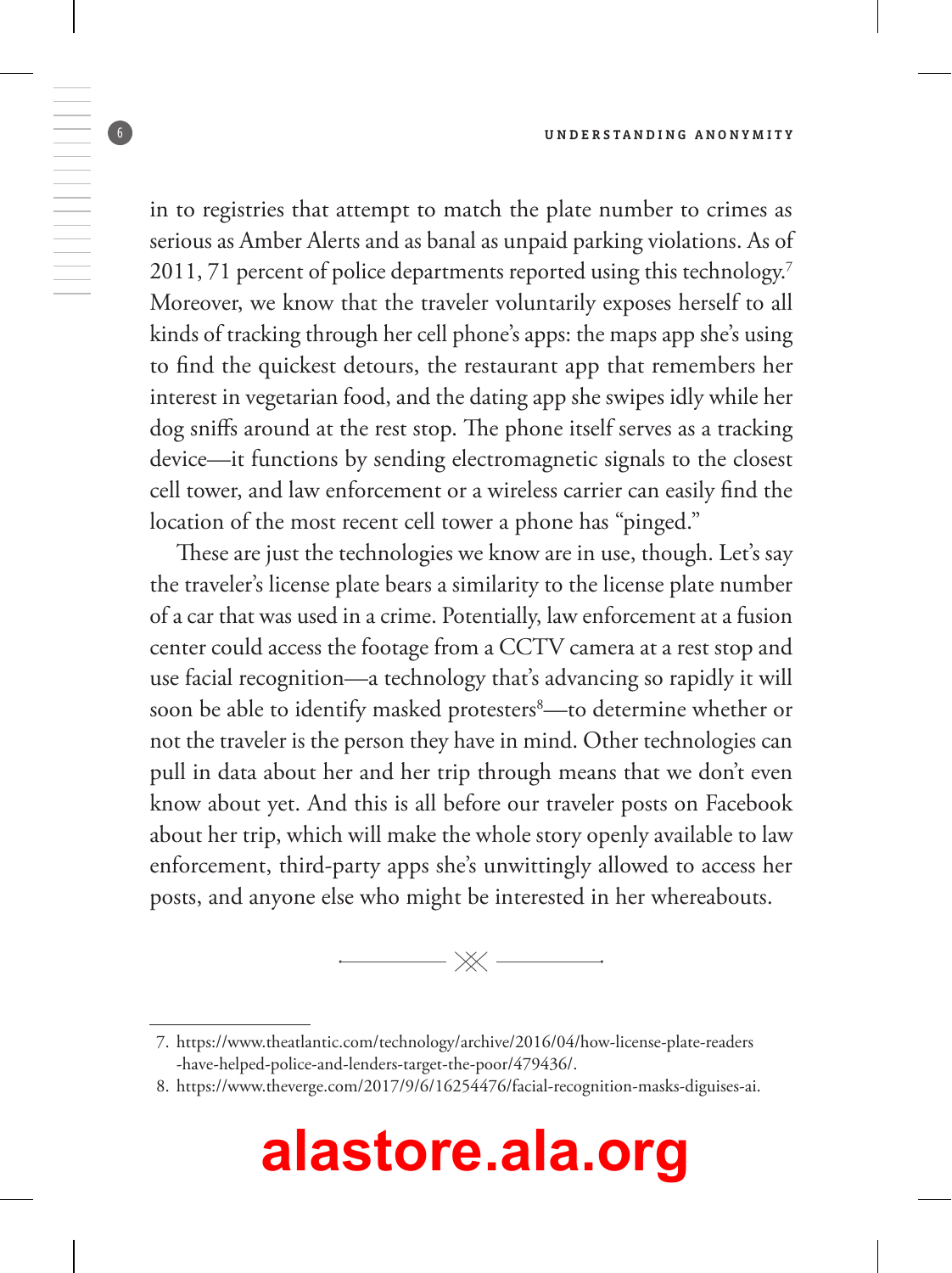in to registries that attempt to match the plate number to crimes as serious as Amber Alerts and as banal as unpaid parking violations. As of 2011, 71 percent of police departments reported using this technology.<sup>7</sup> Moreover, we know that the traveler voluntarily exposes herself to all kinds of tracking through her cell phone's apps: the maps app she's using to find the quickest detours, the restaurant app that remembers her interest in vegetarian food, and the dating app she swipes idly while her dog sniffs around at the rest stop. The phone itself serves as a tracking device—it functions by sending electromagnetic signals to the closest cell tower, and law enforcement or a wireless carrier can easily find the location of the most recent cell tower a phone has "pinged."

These are just the technologies we know are in use, though. Let's say the traveler's license plate bears a similarity to the license plate number of a car that was used in a crime. Potentially, law enforcement at a fusion center could access the footage from a CCTV camera at a rest stop and use facial recognition—a technology that's advancing so rapidly it will soon be able to identify masked protesters $^8\!-\!$ to determine whether or not the traveler is the person they have in mind. Other technologies can pull in data about her and her trip through means that we don't even know about yet. And this is all before our traveler posts on Facebook about her trip, which will make the whole story openly available to law enforcement, third-party apps she's unwittingly allowed to access her posts, and anyone else who might be interested in her whereabouts.

 $\overline{\phantom{a}}$   $\overline{\phantom{a}}$   $\overline{\phantom{a}}$   $\overline{\phantom{a}}$ 

<sup>7.</sup> https://www.theatlantic.com/technology/archive/2016/04/how-license-plate-readers -have-helped-police-and-lenders-target-the-poor/479436/.

<sup>8.</sup> https://www.theverge.com/2017/9/6/16254476/facial-recognition-masks-diguises-ai.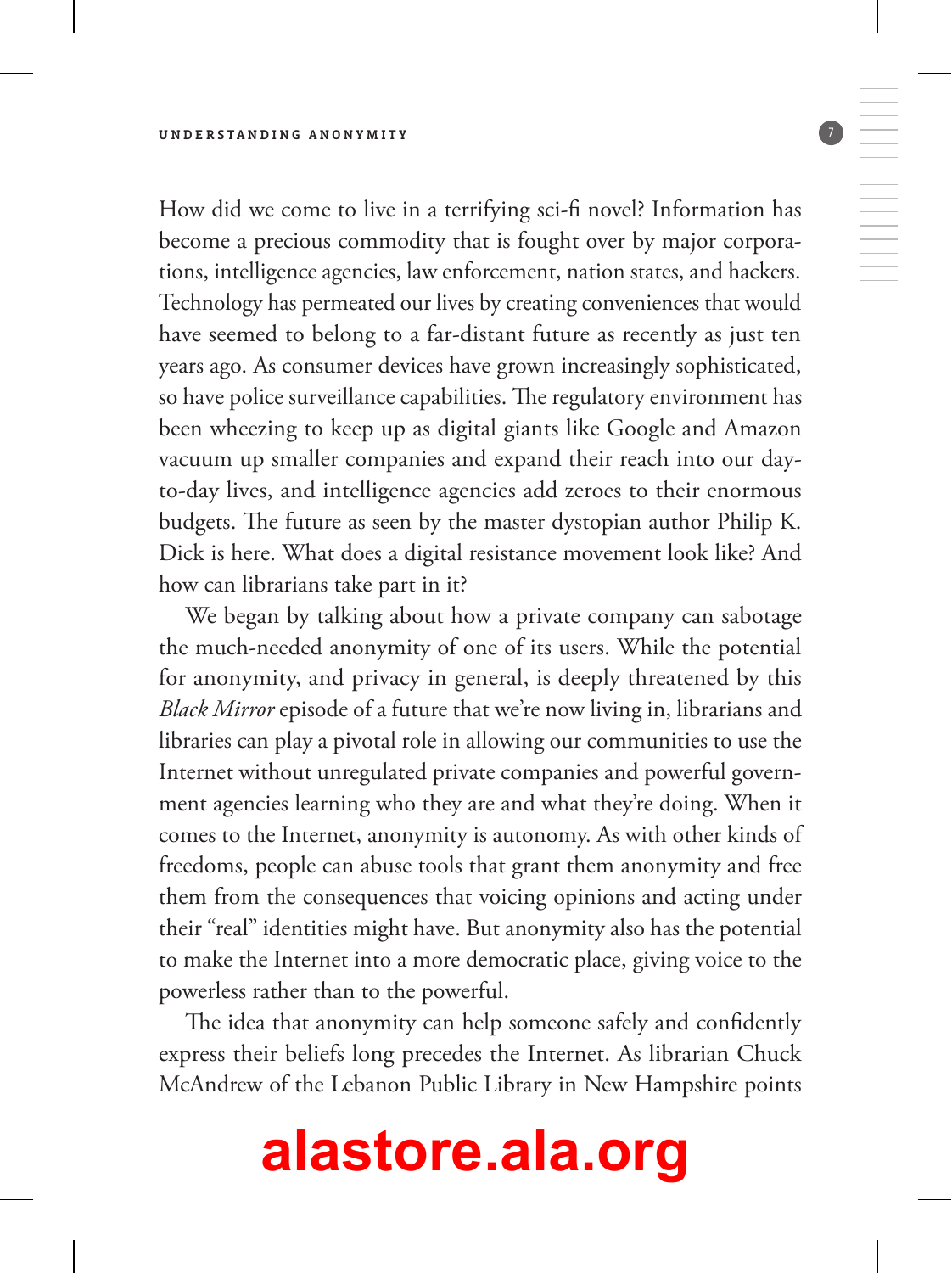How did we come to live in a terrifying sci-fi novel? Information has become a precious commodity that is fought over by major corporations, intelligence agencies, law enforcement, nation states, and hackers. Technology has permeated our lives by creating conveniences that would have seemed to belong to a far-distant future as recently as just ten years ago. As consumer devices have grown increasingly sophisticated, so have police surveillance capabilities. The regulatory environment has been wheezing to keep up as digital giants like Google and Amazon vacuum up smaller companies and expand their reach into our dayto-day lives, and intelligence agencies add zeroes to their enormous budgets. The future as seen by the master dystopian author Philip K. Dick is here. What does a digital resistance movement look like? And how can librarians take part in it?

We began by talking about how a private company can sabotage the much-needed anonymity of one of its users. While the potential for anonymity, and privacy in general, is deeply threatened by this *Black Mirror* episode of a future that we're now living in, librarians and libraries can play a pivotal role in allowing our communities to use the Internet without unregulated private companies and powerful government agencies learning who they are and what they're doing. When it comes to the Internet, anonymity is autonomy. As with other kinds of freedoms, people can abuse tools that grant them anonymity and free them from the consequences that voicing opinions and acting under their "real" identities might have. But anonymity also has the potential to make the Internet into a more democratic place, giving voice to the powerless rather than to the powerful.

The idea that anonymity can help someone safely and confidently express their beliefs long precedes the Internet. As librarian Chuck McAndrew of the Lebanon Public Library in New Hampshire points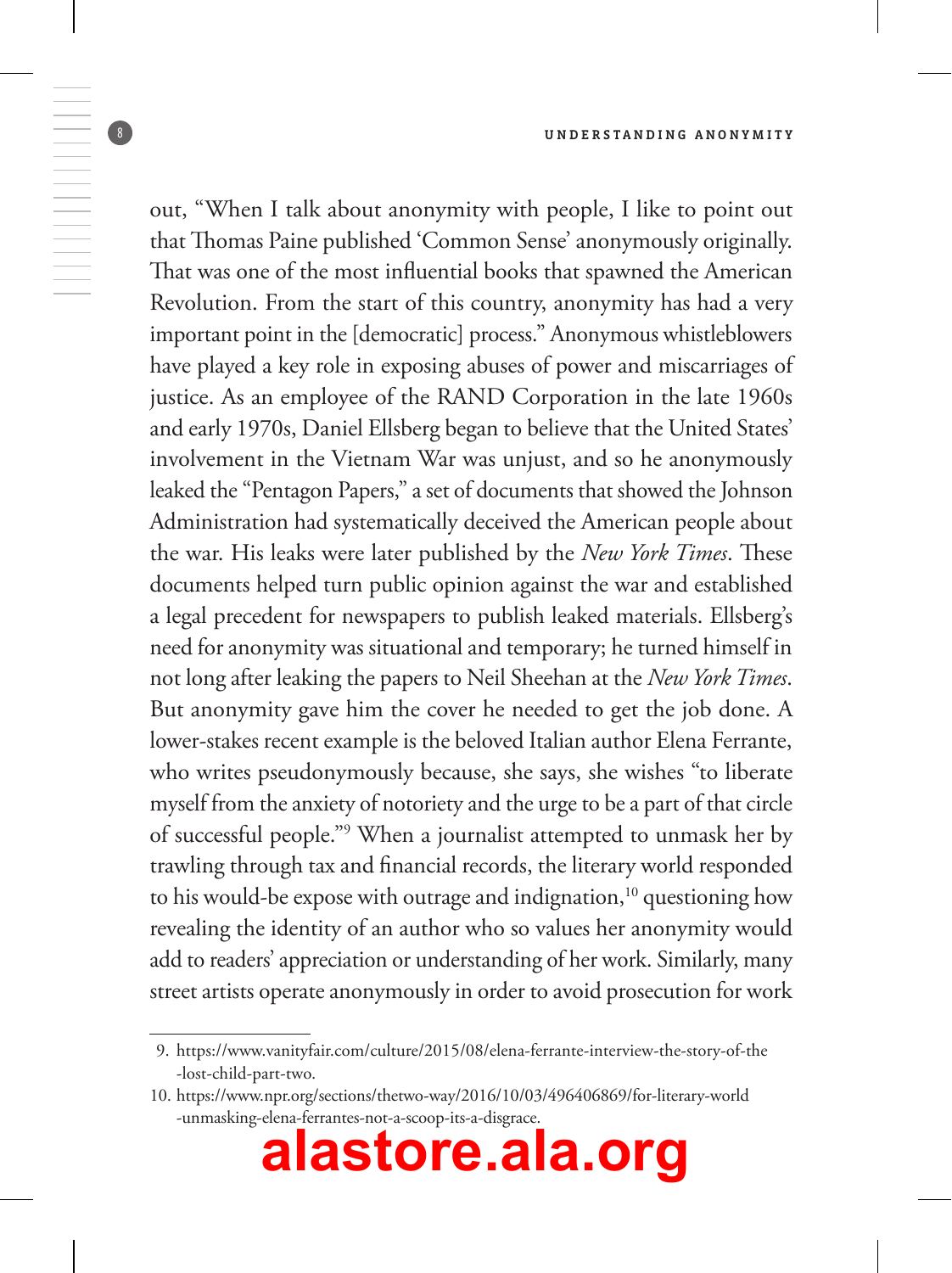out, "When I talk about anonymity with people, I like to point out that Thomas Paine published 'Common Sense' anonymously originally. That was one of the most influential books that spawned the American Revolution. From the start of this country, anonymity has had a very important point in the [democratic] process." Anonymous whistleblowers have played a key role in exposing abuses of power and miscarriages of justice. As an employee of the RAND Corporation in the late 1960s and early 1970s, Daniel Ellsberg began to believe that the United States' involvement in the Vietnam War was unjust, and so he anonymously leaked the "Pentagon Papers," a set of documents that showed the Johnson Administration had systematically deceived the American people about the war. His leaks were later published by the *New York Times*. These documents helped turn public opinion against the war and established a legal precedent for newspapers to publish leaked materials. Ellsberg's need for anonymity was situational and temporary; he turned himself in not long after leaking the papers to Neil Sheehan at the *New York Times*. But anonymity gave him the cover he needed to get the job done. A lower-stakes recent example is the beloved Italian author Elena Ferrante, who writes pseudonymously because, she says, she wishes "to liberate myself from the anxiety of notoriety and the urge to be a part of that circle of successful people."9 When a journalist attempted to unmask her by trawling through tax and financial records, the literary world responded to his would-be expose with outrage and indignation, $10$  questioning how revealing the identity of an author who so values her anonymity would add to readers' appreciation or understanding of her work. Similarly, many street artists operate anonymously in order to avoid prosecution for work

<sup>9.</sup> https://www.vanityfair.com/culture/2015/08/elena-ferrante-interview-the-story-of-the -lost-child-part-two.

<sup>10.</sup> https://www.npr.org/sections/thetwo-way/2016/10/03/496406869/for-literary-world -unmasking-elena-ferrantes-not-a-scoop-its-a-disgrace.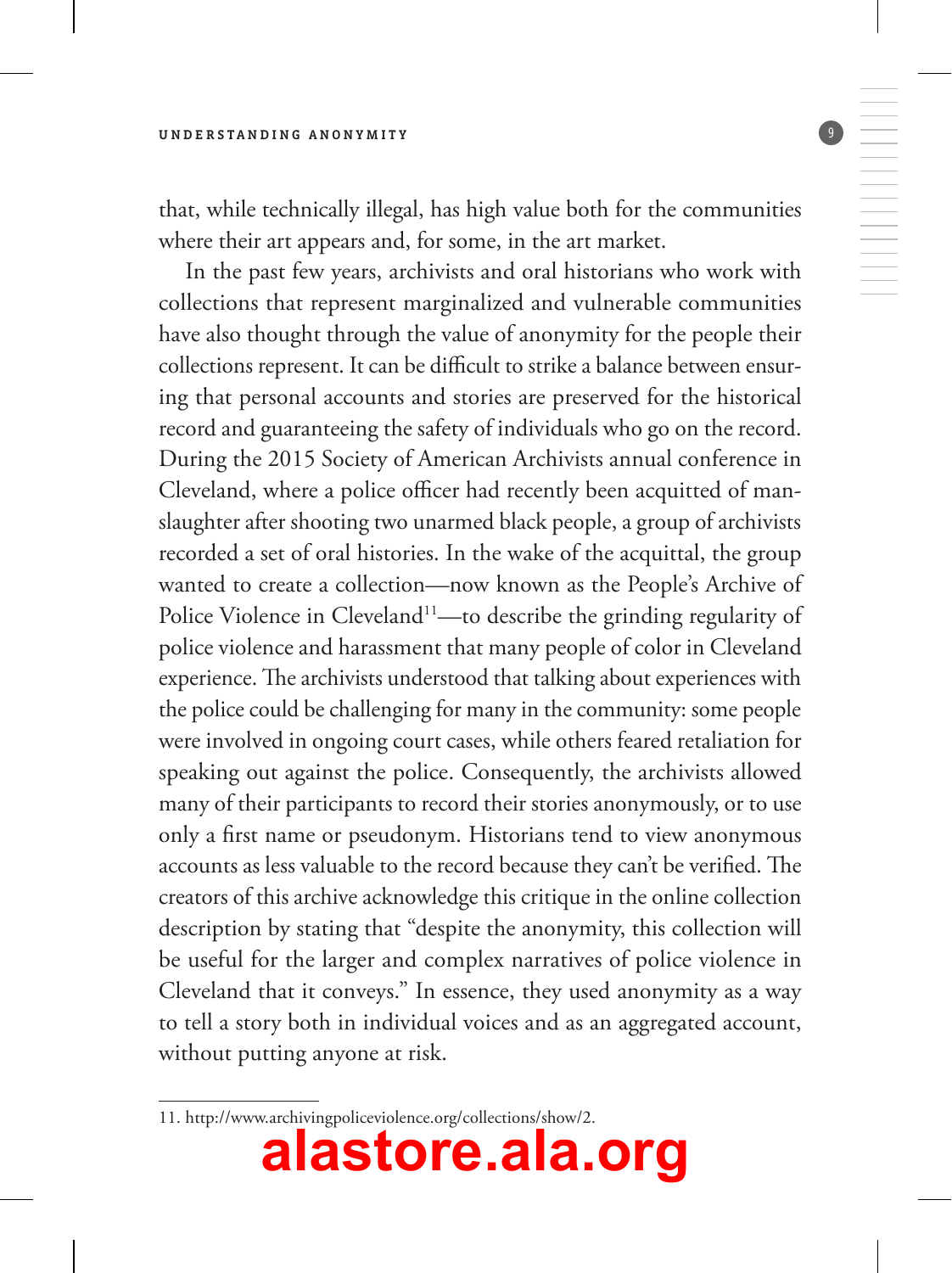that, while technically illegal, has high value both for the communities where their art appears and, for some, in the art market.

\_\_\_\_\_\_\_\_\_\_\_\_\_\_

In the past few years, archivists and oral historians who work with collections that represent marginalized and vulnerable communities have also thought through the value of anonymity for the people their collections represent. It can be difficult to strike a balance between ensuring that personal accounts and stories are preserved for the historical record and guaranteeing the safety of individuals who go on the record. During the 2015 Society of American Archivists annual conference in Cleveland, where a police officer had recently been acquitted of manslaughter after shooting two unarmed black people, a group of archivists recorded a set of oral histories. In the wake of the acquittal, the group wanted to create a collection—now known as the People's Archive of Police Violence in Cleveland<sup>11</sup>—to describe the grinding regularity of police violence and harassment that many people of color in Cleveland experience. The archivists understood that talking about experiences with the police could be challenging for many in the community: some people were involved in ongoing court cases, while others feared retaliation for speaking out against the police. Consequently, the archivists allowed many of their participants to record their stories anonymously, or to use only a first name or pseudonym. Historians tend to view anonymous accounts as less valuable to the record because they can't be verified. The creators of this archive acknowledge this critique in the online collection description by stating that "despite the anonymity, this collection will be useful for the larger and complex narratives of police violence in Cleveland that it conveys." In essence, they used anonymity as a way to tell a story both in individual voices and as an aggregated account, without putting anyone at risk.

<sup>11.</sup> http://www.archivingpoliceviolence.org/collections/show/2.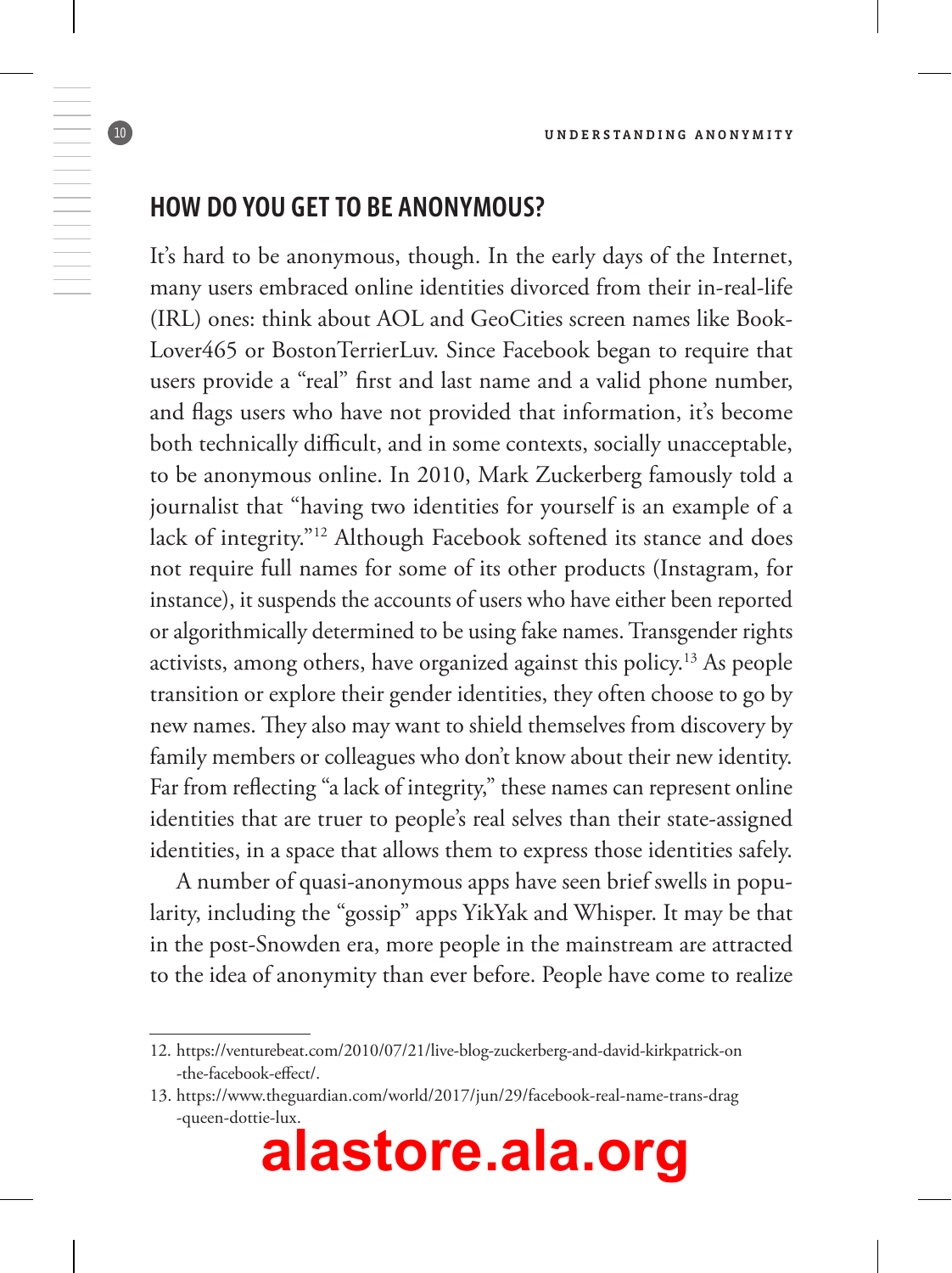### HOW DO YOU GET TO BE ANONYMOUS?

It's hard to be anonymous, though. In the early days of the Internet, many users embraced online identities divorced from their in-real-life (IRL) ones: think about AOL and GeoCities screen names like Book-Lover465 or BostonTerrierLuv. Since Facebook began to require that users provide a "real" first and last name and a valid phone number, and flags users who have not provided that information, it's become both technically difficult, and in some contexts, socially unacceptable, to be anonymous online. In 2010, Mark Zuckerberg famously told a journalist that "having two identities for yourself is an example of a lack of integrity."12 Although Facebook softened its stance and does not require full names for some of its other products (Instagram, for instance), it suspends the accounts of users who have either been reported or algorithmically determined to be using fake names. Transgender rights activists, among others, have organized against this policy.13 As people transition or explore their gender identities, they often choose to go by new names. They also may want to shield themselves from discovery by family members or colleagues who don't know about their new identity. Far from reflecting "a lack of integrity," these names can represent online identities that are truer to people's real selves than their state-assigned identities, in a space that allows them to express those identities safely.

A number of quasi-anonymous apps have seen brief swells in popularity, including the "gossip" apps YikYak and Whisper. It may be that in the post-Snowden era, more people in the mainstream are attracted to the idea of anonymity than ever before. People have come to realize

<sup>13.</sup> https://www.theguardian.com/world/2017/jun/29/facebook-real-name-trans-drag -queen-dottie-lux.



<sup>12.</sup> https://venturebeat.com/2010/07/21/live-blog-zuckerberg-and-david-kirkpatrick-on -the-facebook-effect/.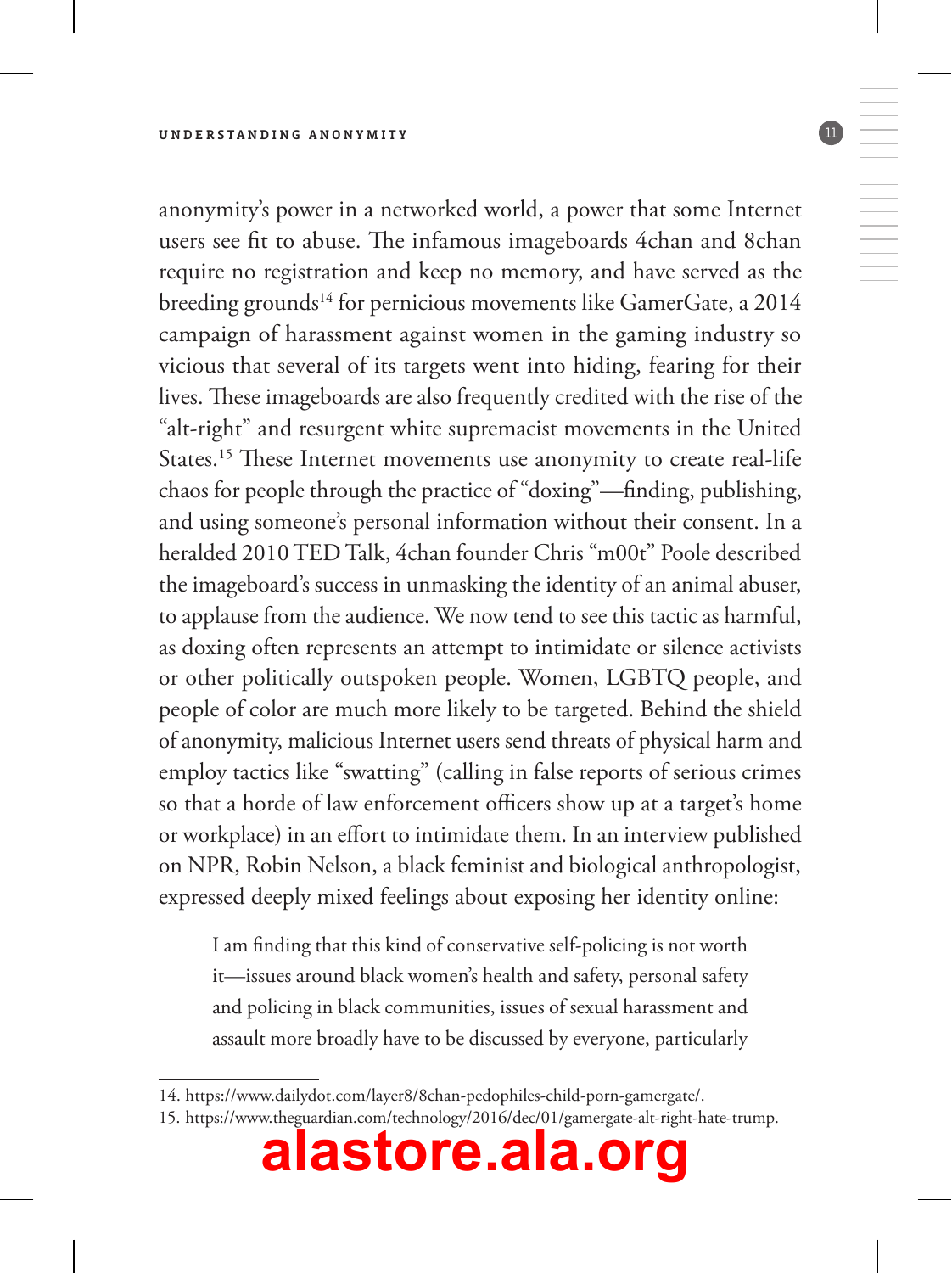anonymity's power in a networked world, a power that some Internet users see fit to abuse. The infamous imageboards 4chan and 8chan require no registration and keep no memory, and have served as the breeding grounds<sup>14</sup> for pernicious movements like GamerGate, a 2014 campaign of harassment against women in the gaming industry so vicious that several of its targets went into hiding, fearing for their lives. These imageboards are also frequently credited with the rise of the "alt-right" and resurgent white supremacist movements in the United States.<sup>15</sup> These Internet movements use anonymity to create real-life chaos for people through the practice of "doxing"—finding, publishing, and using someone's personal information without their consent. In a heralded 2010 TED Talk, 4chan founder Chris "m00t" Poole described the imageboard's success in unmasking the identity of an animal abuser, to applause from the audience. We now tend to see this tactic as harmful, as doxing often represents an attempt to intimidate or silence activists or other politically outspoken people. Women, LGBTQ people, and people of color are much more likely to be targeted. Behind the shield of anonymity, malicious Internet users send threats of physical harm and employ tactics like "swatting" (calling in false reports of serious crimes so that a horde of law enforcement officers show up at a target's home or workplace) in an effort to intimidate them. In an interview published on NPR, Robin Nelson, a black feminist and biological anthropologist, expressed deeply mixed feelings about exposing her identity online:

I am finding that this kind of conservative self-policing is not worth it—issues around black women's health and safety, personal safety and policing in black communities, issues of sexual harassment and assault more broadly have to be discussed by everyone, particularly

14. https://www.dailydot.com/layer8/8chan-pedophiles-child-porn-gamergate/.

<sup>15.</sup> https://www.theguardian.com/technology/2016/dec/01/gamergate-alt-right-hate-trump. **alastore.ala.org**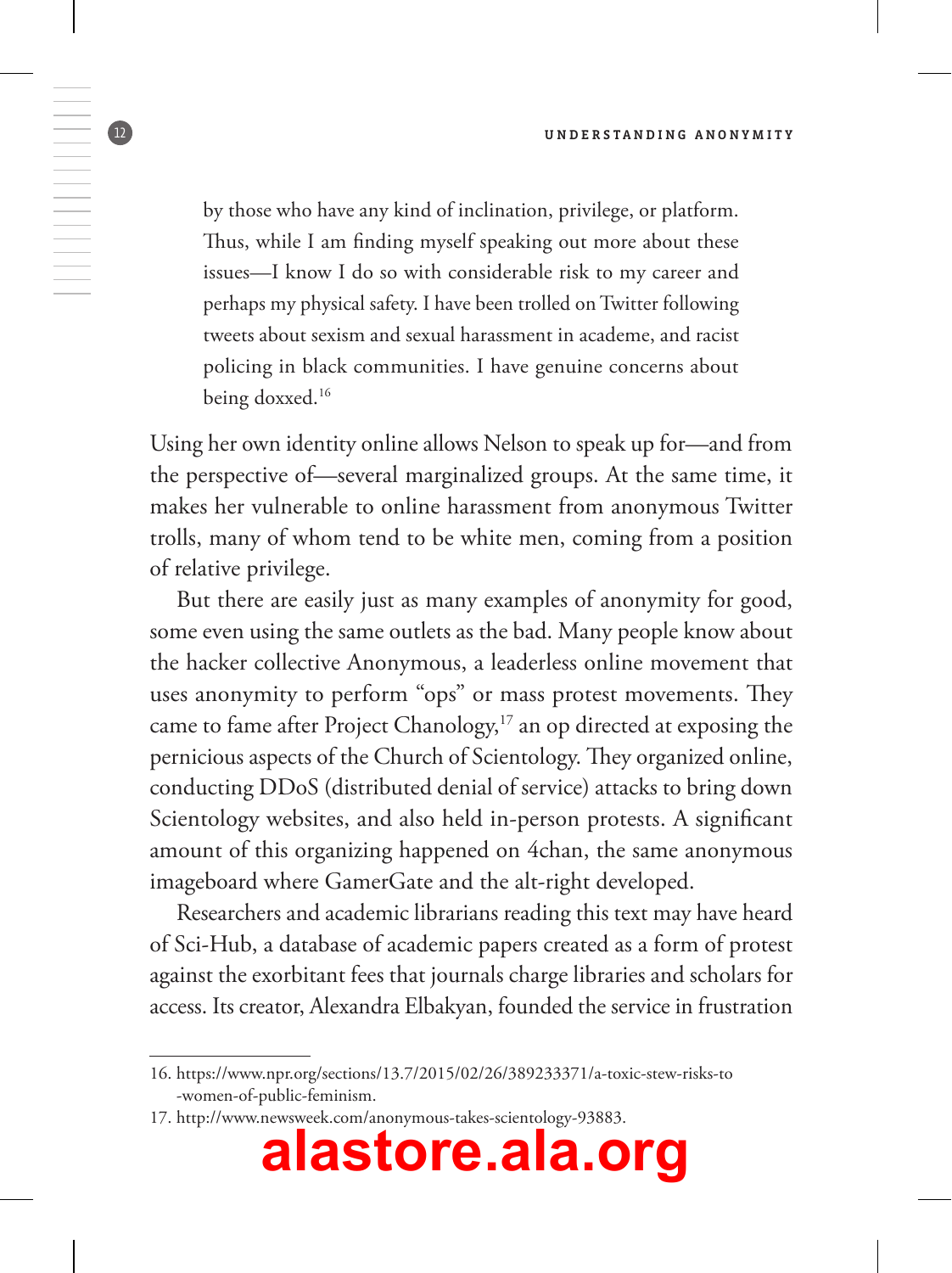by those who have any kind of inclination, privilege, or platform. Thus, while I am finding myself speaking out more about these issues—I know I do so with considerable risk to my career and perhaps my physical safety. I have been trolled on Twitter following tweets about sexism and sexual harassment in academe, and racist policing in black communities. I have genuine concerns about being doxxed.16

Using her own identity online allows Nelson to speak up for—and from the perspective of—several marginalized groups. At the same time, it makes her vulnerable to online harassment from anonymous Twitter trolls, many of whom tend to be white men, coming from a position of relative privilege.

But there are easily just as many examples of anonymity for good, some even using the same outlets as the bad. Many people know about the hacker collective Anonymous, a leaderless online movement that uses anonymity to perform "ops" or mass protest movements. They came to fame after Project Chanology,17 an op directed at exposing the pernicious aspects of the Church of Scientology. They organized online, conducting DDoS (distributed denial of service) attacks to bring down Scientology websites, and also held in-person protests. A significant amount of this organizing happened on 4chan, the same anonymous imageboard where GamerGate and the alt-right developed.

Researchers and academic librarians reading this text may have heard of Sci-Hub, a database of academic papers created as a form of protest against the exorbitant fees that journals charge libraries and scholars for access. Its creator, Alexandra Elbakyan, founded the service in frustration

<sup>17.</sup> http://www.newsweek.com/anonymous-takes-scientology-93883.



<sup>16.</sup> https://www.npr.org/sections/13.7/2015/02/26/389233371/a-toxic-stew-risks-to -women-of-public-feminism.